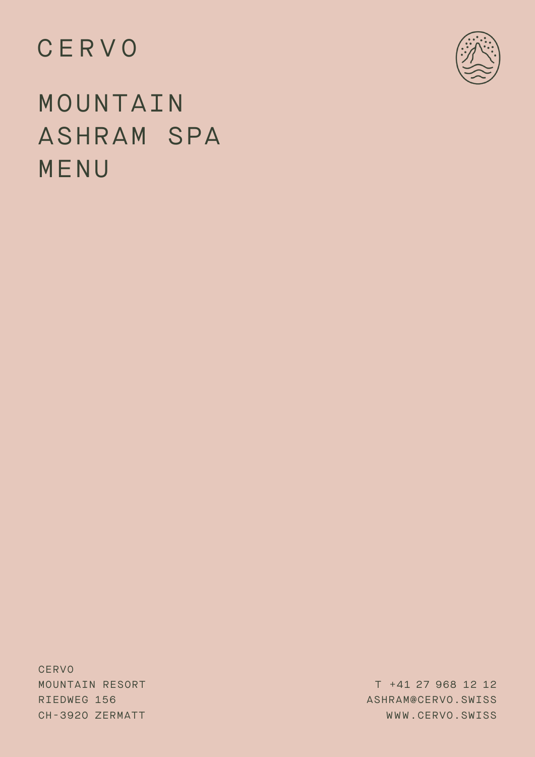## CERVO



# MOUNTAIN ASHRAM SPA MENU

**CERVO** MOUNTAIN RESORT RIEDWEG 156 CH-392O ZERMATT

T +41 27 968 12 12 ASHRAM@CERVO.SWISS WWW.CERVO.SWISS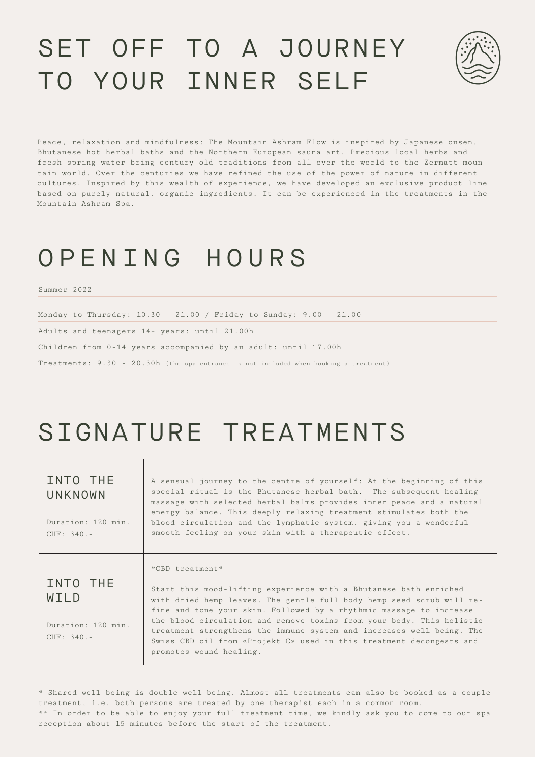# SET OFF TO A JOURNEY TO YOUR INNER SELF

Peace, relaxation and mindfulness: The Mountain Ashram Flow is inspired by Japanese onsen, Bhutanese hot herbal baths and the Northern European sauna art. Precious local herbs and fresh spring water bring century-old traditions from all over the world to the Zermatt mountain world. Over the centuries we have refined the use of the power of nature in different cultures. Inspired by this wealth of experience, we have developed an exclusive product line based on purely natural, organic ingredients. It can be experienced in the treatments in the Mountain Ashram Spa.

## OPENING HOURS

Summer 2022

Monday to Thursday: 10.30 - 21.00 / Friday to Sunday: 9.00 - 21.00

Adults and teenagers 14+ years: until 21.00h

Children from 0-14 years accompanied by an adult: until 17.00h

Treatments: 9.30 - 20.30h (the spa entrance is not included when booking a treatment)

# SIGNATURE TREATMENTS

| INTO THE<br>UNKNOWN<br>Duration: 120 min.<br>$CHF: 340 -$          | A sensual journey to the centre of yourself: At the beginning of this<br>special ritual is the Bhutanese herbal bath. The subsequent healing<br>massage with selected herbal balms provides inner peace and a natural<br>energy balance. This deeply relaxing treatment stimulates both the<br>blood circulation and the lymphatic system, giving you a wonderful<br>smooth feeling on your skin with a therapeutic effect.                                                                   |
|--------------------------------------------------------------------|-----------------------------------------------------------------------------------------------------------------------------------------------------------------------------------------------------------------------------------------------------------------------------------------------------------------------------------------------------------------------------------------------------------------------------------------------------------------------------------------------|
| INTO THE<br>WTI <sub>D</sub><br>Duration: 120 min.<br>$CHF: 340 -$ | $*CBD + reachment*$<br>Start this mood-lifting experience with a Bhutanese bath enriched<br>with dried hemp leaves. The gentle full body hemp seed scrub will re-<br>fine and tone your skin. Followed by a rhythmic massage to increase<br>the blood circulation and remove toxins from your body. This holistic<br>treatment strengthens the immune system and increases well-being. The<br>Swiss CBD oil from «Projekt C» used in this treatment decongests and<br>promotes wound healing. |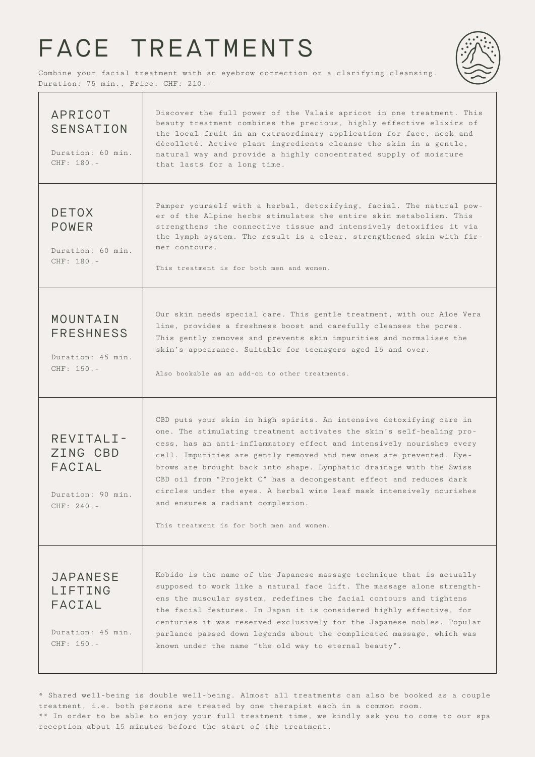# FACE TREATMENTS

Combine your facial treatment with an eyebrow correction or a clarifying cleansing. Duration: 75 min., Price: CHF: 210.-

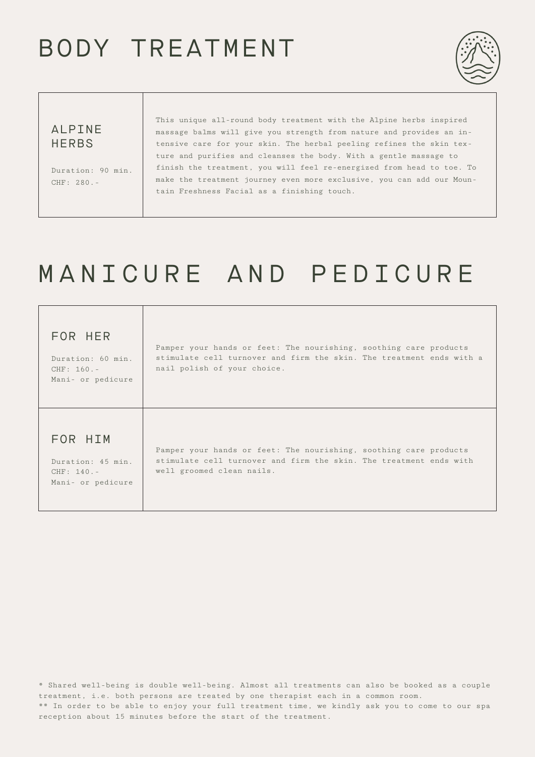# BODY TREATMENT



## ALPINE **HERBS**

Duration: 90 min. CHF: 280.-

This unique all-round body treatment with the Alpine herbs inspired massage balms will give you strength from nature and provides an intensive care for your skin. The herbal peeling refines the skin texture and purifies and cleanses the body. With a gentle massage to finish the treatment, you will feel re-energized from head to toe. To make the treatment journey even more exclusive, you can add our Mountain Freshness Facial as a finishing touch.

# MANICURE AND PEDICURE

| FOR HER<br>Duration: 60 min.<br>$CHF: 160. -$<br>Mani- or pedicure | Pamper your hands or feet: The nourishing, soothing care products<br>stimulate cell turnover and firm the skin. The treatment ends with a<br>nail polish of your choice. |
|--------------------------------------------------------------------|--------------------------------------------------------------------------------------------------------------------------------------------------------------------------|
| FOR HIM<br>Duration: 45 min.<br>$CHF: 140. -$<br>Mani- or pedicure | Pamper your hands or feet: The nourishing, soothing care products<br>stimulate cell turnover and firm the skin. The treatment ends with<br>well groomed clean nails.     |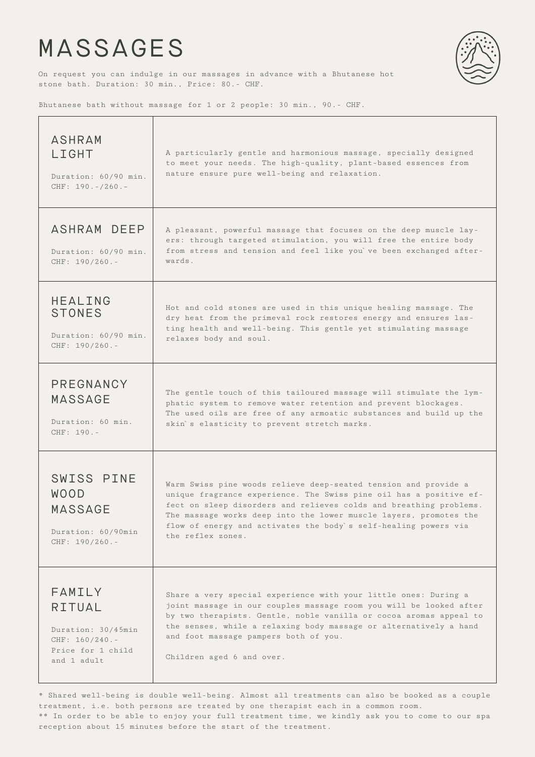## MASSAGES



On request you can indulge in our massages in advance with a Bhutanese hot stone bath. Duration: 30 min., Price: 80.- CHF.

Bhutanese bath without massage for 1 or 2 people: 30 min., 90.- CHF.

| <b>ASHRAM</b><br>LIGHT<br>Duration: 60/90 min.<br>CHF: $190. - / 260. -$               | A particularly gentle and harmonious massage, specially designed<br>to meet your needs. The high-quality, plant-based essences from<br>nature ensure pure well-being and relaxation.                                                                                                                                                                                     |
|----------------------------------------------------------------------------------------|--------------------------------------------------------------------------------------------------------------------------------------------------------------------------------------------------------------------------------------------------------------------------------------------------------------------------------------------------------------------------|
| ASHRAM DEEP<br>Duration: 60/90 min.<br>$CHF: 190/260. -$                               | A pleasant, powerful massage that focuses on the deep muscle lay-<br>ers: through targeted stimulation, you will free the entire body<br>from stress and tension and feel like you've been exchanged after-<br>wards.                                                                                                                                                    |
| <b>HEALING</b>                                                                         | Hot and cold stones are used in this unique healing massage. The                                                                                                                                                                                                                                                                                                         |
| <b>STONES</b>                                                                          | dry heat from the primeval rock restores energy and ensures las-                                                                                                                                                                                                                                                                                                         |
| Duration: 60/90 min.                                                                   | ting health and well-being. This gentle yet stimulating massage                                                                                                                                                                                                                                                                                                          |
| $CHF: 190/260. -$                                                                      | relaxes body and soul.                                                                                                                                                                                                                                                                                                                                                   |
| PREGNANCY                                                                              | The gentle touch of this tailoured massage will stimulate the lym-                                                                                                                                                                                                                                                                                                       |
| <b>MASSAGE</b>                                                                         | phatic system to remove water retention and prevent blockages.                                                                                                                                                                                                                                                                                                           |
| Duration: 60 min.                                                                      | The used oils are free of any armoatic substances and build up the                                                                                                                                                                                                                                                                                                       |
| CHF: 190.-                                                                             | skin's elasticity to prevent stretch marks.                                                                                                                                                                                                                                                                                                                              |
| SWISS PINE<br><b>WOOD</b><br><b>MASSAGE</b><br>Duration: 60/90min<br>$CHF: 190/260. -$ | Warm Swiss pine woods relieve deep-seated tension and provide a<br>unique fragrance experience. The Swiss pine oil has a positive ef-<br>fect on sleep disorders and relieves colds and breathing problems.<br>The massage works deep into the lower muscle layers, promotes the<br>flow of energy and activates the body`s self-healing powers via<br>the reflex zones. |
| FAMILY                                                                                 | Share a very special experience with your little ones: During a                                                                                                                                                                                                                                                                                                          |
| <b>RITUAL</b>                                                                          | joint massage in our couples massage room you will be looked after                                                                                                                                                                                                                                                                                                       |
| Duration: 30/45min                                                                     | by two therapists. Gentle, noble vanilla or cocoa aromas appeal to                                                                                                                                                                                                                                                                                                       |
| $CHF: 160/240. -$                                                                      | the senses, while a relaxing body massage or alternatively a hand                                                                                                                                                                                                                                                                                                        |
| Price for 1 child                                                                      | and foot massage pampers both of you.                                                                                                                                                                                                                                                                                                                                    |
| and 1 adult                                                                            | Children aged 6 and over.                                                                                                                                                                                                                                                                                                                                                |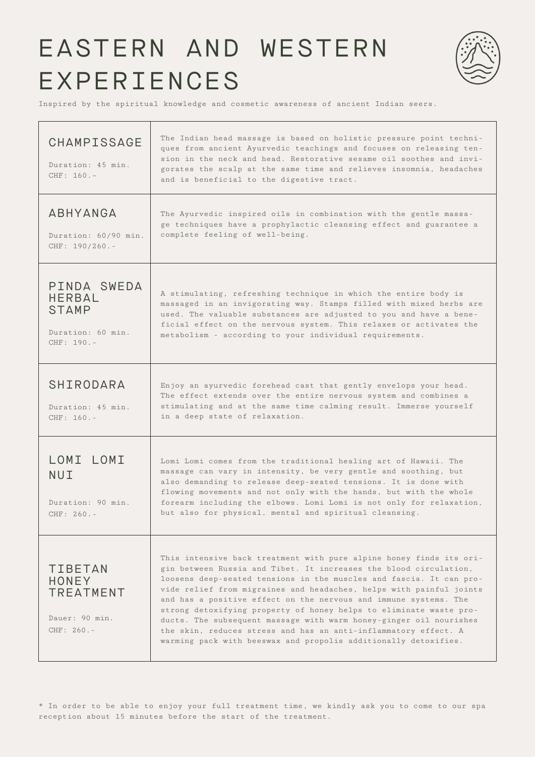# EASTERN AND WESTERN EXPERIENCES



Inspired by the spiritual knowledge and cosmetic awareness of ancient Indian seers.

| CHAMPISSAGE<br>Duration: 45 min.<br>$CHF: 160. -$                               | The Indian head massage is based on holistic pressure point techni-<br>ques from ancient Ayurvedic teachings and focuses on releasing ten-<br>sion in the neck and head. Restorative sesame oil soothes and invi-<br>gorates the scalp at the same time and relieves insomnia, headaches<br>and is beneficial to the digestive tract.                                                                                                                                                                                                                                                                                                        |
|---------------------------------------------------------------------------------|----------------------------------------------------------------------------------------------------------------------------------------------------------------------------------------------------------------------------------------------------------------------------------------------------------------------------------------------------------------------------------------------------------------------------------------------------------------------------------------------------------------------------------------------------------------------------------------------------------------------------------------------|
| ABHYANGA<br>Duration: 60/90 min.<br>$CHF: 190/260. -$                           | The Ayurvedic inspired oils in combination with the gentle massa-<br>ge techniques have a prophylactic cleansing effect and guarantee a<br>complete feeling of well-being.                                                                                                                                                                                                                                                                                                                                                                                                                                                                   |
| PINDA SWEDA<br><b>HERBAL</b><br><b>STAMP</b><br>Duration: 60 min.<br>CHF: 190.- | A stimulating, refreshing technique in which the entire body is<br>massaged in an invigorating way. Stamps filled with mixed herbs are<br>used. The valuable substances are adjusted to you and have a bene-<br>ficial effect on the nervous system. This relaxes or activates the<br>metabolism - according to your individual requirements.                                                                                                                                                                                                                                                                                                |
| SHIRODARA<br>Duration: 45 min.<br>$CHF: 160. -$                                 | Enjoy an ayurvedic forehead cast that gently envelops your head.<br>The effect extends over the entire nervous system and combines a<br>stimulating and at the same time calming result. Immerse yourself<br>in a deep state of relaxation.                                                                                                                                                                                                                                                                                                                                                                                                  |
| LOMI LOMI<br>NUI<br>Duration: 90 min.<br>$CHF: 260 -$                           | Lomi Lomi comes from the traditional healing art of Hawaii. The<br>massage can vary in intensity, be very gentle and soothing, but<br>also demanding to release deep-seated tensions. It is done with<br>flowing movements and not only with the hands, but with the whole<br>forearm including the elbows. Lomi Lomi is not only for relaxation,<br>but also for physical, mental and spiritual cleansing.                                                                                                                                                                                                                                  |
| <b>TIBETAN</b><br>HONEY<br><b>TREATMENT</b><br>Dauer: 90 min.<br>$CHF: 260 -$   | This intensive back treatment with pure alpine honey finds its ori-<br>gin between Russia and Tibet. It increases the blood circulation,<br>loosens deep-seated tensions in the muscles and fascia. It can pro-<br>vide relief from migraines and headaches, helps with painful joints<br>and has a positive effect on the nervous and immune systems. The<br>strong detoxifying property of honey helps to eliminate waste pro-<br>ducts. The subsequent massage with warm honey-ginger oil nourishes<br>the skin, reduces stress and has an anti-inflammatory effect. A<br>warming pack with beeswax and propolis additionally detoxifies. |

\* In order to be able to enjoy your full treatment time, we kindly ask you to come to our spa reception about 15 minutes before the start of the treatment.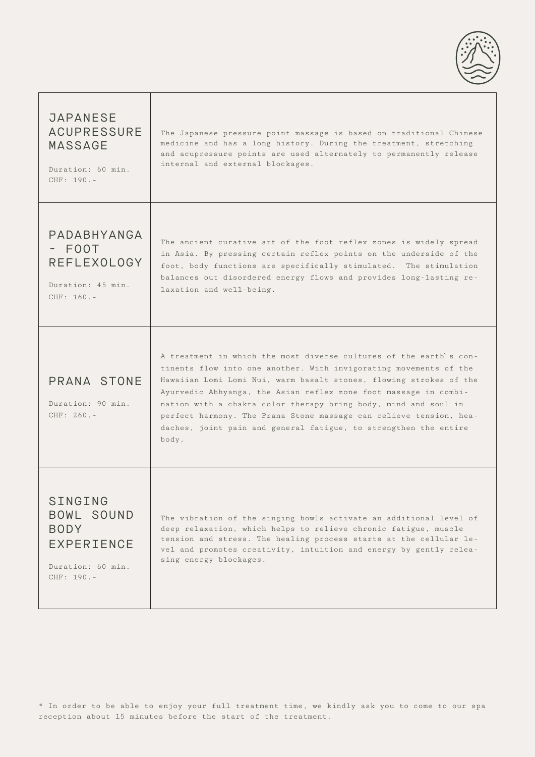

| <b>JAPANESE</b><br><b>ACUPRESSURE</b><br><b>MASSAGE</b><br>Duration: 60 min.<br>$CHF: 190. -$ | The Japanese pressure point massage is based on traditional Chinese<br>medicine and has a long history. During the treatment, stretching<br>and acupressure points are used alternately to permanently release<br>internal and external blockages.                                                                                                                                                                                                                                                      |
|-----------------------------------------------------------------------------------------------|---------------------------------------------------------------------------------------------------------------------------------------------------------------------------------------------------------------------------------------------------------------------------------------------------------------------------------------------------------------------------------------------------------------------------------------------------------------------------------------------------------|
| PADABHYANGA<br>- FOOT<br><b>REFLEXOLOGY</b><br>Duration: 45 min.<br>CHF: 160.-                | The ancient curative art of the foot reflex zones is widely spread<br>in Asia. By pressing certain reflex points on the underside of the<br>foot, body functions are specifically stimulated. The stimulation<br>balances out disordered energy flows and provides long-lasting re-<br>laxation and well-being.                                                                                                                                                                                         |
| PRANA STONE<br>Duration: 90 min.<br>CHF: 260.-                                                | A treatment in which the most diverse cultures of the earth's con-<br>tinents flow into one another. With invigorating movements of the<br>Hawaiian Lomi Lomi Nui, warm basalt stones, flowing strokes of the<br>Ayurvedic Abhyanga, the Asian reflex zone foot massage in combi-<br>nation with a chakra color therapy bring body, mind and soul in<br>perfect harmony. The Prana Stone massage can relieve tension, hea-<br>daches, joint pain and general fatigue, to strengthen the entire<br>body. |
| SINGING<br>BOWL SOUND<br><b>BODY</b><br>EXPERIENCE<br>Duration: 60 min.<br>CHF: 190.-         | The vibration of the singing bowls activate an additional level of<br>deep relaxation, which helps to relieve chronic fatigue, muscle<br>tension and stress. The healing process starts at the cellular le-<br>vel and promotes creativity, intuition and energy by gently relea-<br>sing energy blockages.                                                                                                                                                                                             |

T

\* In order to be able to enjoy your full treatment time, we kindly ask you to come to our spa reception about 15 minutes before the start of the treatment.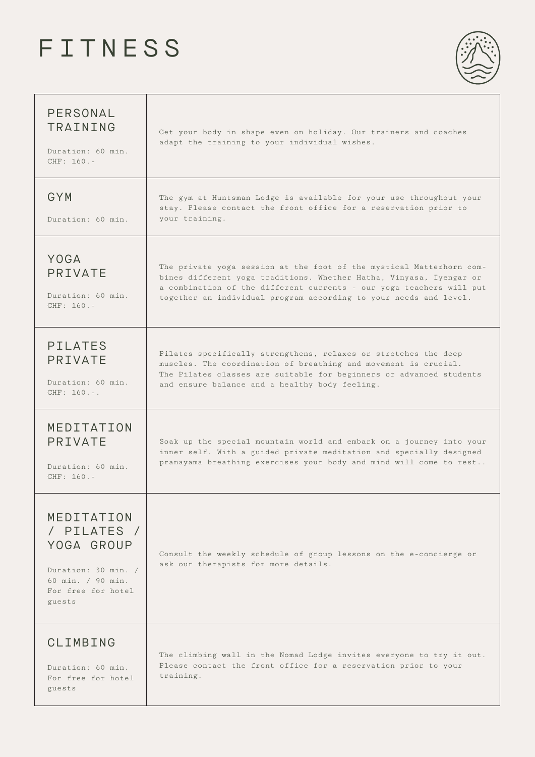# FITNESS



| PERSONAL<br>TRAINING<br>Duration: 60 min.<br>$CHF: 160. -$                                                          | Get your body in shape even on holiday. Our trainers and coaches<br>adapt the training to your individual wishes.                                                                                                                                                                        |
|---------------------------------------------------------------------------------------------------------------------|------------------------------------------------------------------------------------------------------------------------------------------------------------------------------------------------------------------------------------------------------------------------------------------|
| GYM<br>Duration: 60 min.                                                                                            | The gym at Huntsman Lodge is available for your use throughout your<br>stay. Please contact the front office for a reservation prior to<br>your training.                                                                                                                                |
| YOGA<br>PRIVATE<br>Duration: 60 min.<br>CHF: 160.-                                                                  | The private yoga session at the foot of the mystical Matterhorn com-<br>bines different yoga traditions. Whether Hatha, Vinyasa, Iyengar or<br>a combination of the different currents - our yoga teachers will put<br>together an individual program according to your needs and level. |
| <b>PILATES</b><br>PRIVATE<br>Duration: 60 min.<br>$CHF: 160. -.$                                                    | Pilates specifically strengthens, relaxes or stretches the deep<br>muscles. The coordination of breathing and movement is crucial.<br>The Pilates classes are suitable for beginners or advanced students<br>and ensure balance and a healthy body feeling.                              |
| MEDITATION<br>PRIVATE<br>Duration: 60 min.<br>$CHF: 160. -$                                                         | Soak up the special mountain world and embark on a journey into your<br>inner self. With a guided private meditation and specially designed<br>pranayama breathing exercises your body and mind will come to rest                                                                        |
| MEDITATION<br>/ PILATES /<br>YOGA GROUP<br>Duration: 30 min. /<br>60 min. / 90 min.<br>For free for hotel<br>guests | Consult the weekly schedule of group lessons on the e-concierge or<br>ask our therapists for more details.                                                                                                                                                                               |
| CLIMBING<br>Duration: 60 min.<br>For free for hotel<br>guests                                                       | The climbing wall in the Nomad Lodge invites everyone to try it out.<br>Please contact the front office for a reservation prior to your<br>training.                                                                                                                                     |